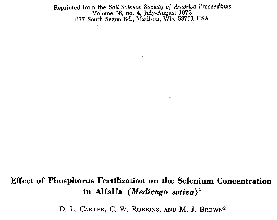Reprinted from the *Soil Science Society of America Proceedings* Volume 36, no. 4, July-August 1972 677 South Segoe Rd., Madison, Wis. 53711 USA

# Effect of Phosphorus Fertilization on the Selenium Concentration in Alfalfa *(Medicago sativa)i*

D. L. CARTER, C. W. ROBBINS, AND M. J. BROWN'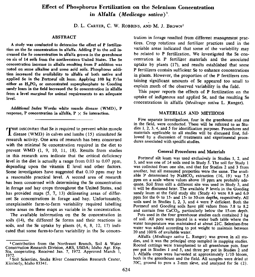## **Effect of Phosphorus Fertilization on the Selenium Concentration in Alfalfa** *(Medicago sativa)*

D. L. CARTER, C. W. ROBBINS, AND M. J. BROWN<sup>2</sup>

### ABSTRACT

A study was conducted to determine the effect **of P** fertilization on the Se concentration in alfalfa. Adding P to the **soil in**creased the Se concentration in alfalfa grown in the greenhouse on six of **14 soils from the** northwestern United States. **The Se** concentration increase in alfalfa resulting from P addition was noted on **some alkaline and some** acid soils. Phosphorus addition increased the availability to alfalfa of both native and applied Se in the Portneuf *silt* loam. Applying 160 kg P/ha either as **H**3**PO4 or concentrated superphosphate to Gooding sandy loam in the field increased the Se** concentration in alfalfa from a level marginal for animal requirements to an adequate level.

*Additional Index Words:* white muscle disease (WMD), P response, P concentration in alfalfa,  $P \times S$ e interaction.

 $f$ THE DISCOVERY that Se is required to prevent white muscle  $\blacksquare$  disease (WMD) in calves and lambs (15) stimulated Se research activity. One area of research has been concerned with the minimal Se concentration required in the diet to prevent WMD (1, 9, 10, 11, 18). Results from studies in this research area indicate that the critical deficiency level in the diet is actually a range from 0.03 to 0.07 ppm, depending upon the vitamin E level and other factors. Some investigators have suggested that 0.10 ppm may be a reasonable practical level. A second area of research has been concerned with determining the Se concentration in forage and hay crops throughout the United States, and has provided maps (5, 7, 13) delineating areas of different Se concentrations in forage and hay. Unfortunately, unexplainable farm-to-farm variability required labelling some areas on these maps as variable in Se concentration.

The available information on the Se concentration in soils (14), the different Se forms and their reactions in soils, and the Se uptake by plants (4, 6, 8, 12, 17) indicated that some farm-to-farm variability in the Se concentration in forage resulted from different management practices. Crop rotations and fertilizer practices used in the variable areas indicated that some of the variability may be related to P fertilization. We investigated the Se concentration in P fertilizer materials and the associated uptake by plants (17), and results established that some P fertilizers contain sufficient Se to enhance concentrations in plants. However, the proportion of the P fertilizers containing significant amounts of Se appeared too small to explain much of the observed variability in the field.

This paper reports the effects of P fertilization on the uptake of indigenous and applied Se, and the resulting Se concentrations in alfalfa *(Medicago sativa* L. Ranger).

### MATERIALS AND METHODS

Five separate investigations, four in the greenhouse and one in the field, were conducted. These will be referred to as Studies 1, 2, 3, 4, and 5 for identification purposes. Procedures and materials applicable to all studies will be discussed first, followed by a discussion of treatments and experimental procedures associated with specific studies.

## **General Procedures and Materials**

Portneuf silt loam was used exclusively in Studies 1, 2, and 3, and was one of *14* soils used in Study 5. The soil for Study 1 was collected from one site, and that for Studies 2 and 3 from another, but all measured properties were the same. The available P determined by  $NAHCO<sub>3</sub>$  extraction (16, 19) was 7.5 ppm on a scale where values above 10 ppm are probably adequate. Soil from still a different site was used in Study 5, and it will be discussed later. The available P levels in the Gooding sandy loam at the field study site (Study 4) were 8.8 and 6.0 ppm for the 0- to 15- and 15- to 30-cm depths, respectively. All soils used in Studies 1, 2, 3, and 4 were P deficient. Both the Portneuf and Gooding soils have pH values from 7.8 to 8.2 and contain free CaCO<sub>3</sub>, particularly below the 15-cm depth.

Pots used in the four greenhouse studies each contained 3 kg of soil. All pots were placed in a water bath table where the water temperature was maintained at about 21C. Selenium-free water was added according to pot weight to maintain between 20 and 100% of available water.

Alfalfa *(Medicago sativa* L. Ranger) was grown in all studies, and it was the principal crop sampled in mapping studies. Rooted cuttings were transplanted to all greenhouse pots, four per pot in Studies 1 and 5, and three per pot in Studies 2 and 3. Alfalfa crops were harvested at approximately 1/10 bloom, both in the greenhouse and the field. All samples were dried at 50C, ground to pass a 2-mm sieve, and analyzed for Se (2).

<sup>&#</sup>x27;Contribution from the Northwest Branch, Soil & Water Conservation Research Division, ARS, USDA; Idaho Agr. Exp. Sta. cooperating. Received Jan. 7, 1972. Approved March 1, 1972.

<sup>2</sup> Soil Scientists, Snake River Conservation Research Center, Kimberly, Idaho 83341.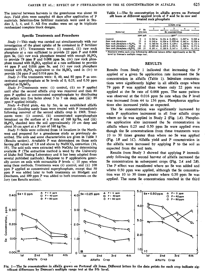The interval between harvests in the greenhouse was about 30 days. Field plots were sampled 48 days after application of P materials. Selenium-free fertilizer materials were used in Studies 2, 3, 4, and 5. All five studies were set up in triplicate randomized complete block designs.

#### Specific Treatments and Procedures

*Study* I—This study was carried out simultaneously with our investigation of the plant uptake of Se contained in P fertilizer materials (17). Treatments were: (i) control, (ii) raw rock phosphate at a rate sufficient to provide 22 ppm P and 0.008 ppm Se, (iii) raw rock phosphate treated with enough  $H_3PO_4$ to provide 79 ppm P and 0.008 ppm Se, (iv) raw rock phosphate treated with  $H_2SO_4$  applied at a rate sufficient to provide 44 ppm P and 0.016 ppm Se, and *(v)* raw rock phosphate treated with  $H_3PO_4$  equivalent to the  $H_2SO_4$  used in (iv) to provide 156 ppm P and 0.016 ppm Se.

*Study* 2—The treatments were: 0, 40, and 80 ppm P as concentrated superphosphate at Se levels of 0, 0.25, and 0.50 ppm applied as  $H_2$ SeO<sub>3</sub>.

*Study* 3—Treatments were: (i) control, (ii) no P applied until after the second alfalfa crop was removed and then 80 ppm P applied as concentrated superphosphate by distributing the pellets into five holes about 5 to 7 cm deep, and (iii) 80 ppm P applied initially.

*Study* 4—FieId plots, 4m by 5m, in an established alfalfa stand on Gooding sandy loam were treated with P immediately following removal of the second alfalfa crop in 1969. Treatments were: (i) control, (ii) concentrated superphosphate broadcast on the surface at a P rate of 160 kg/ha, and (iii)  $H_3PO_4$  shanked into the soil approximately 10 cm deep and about 30 cm apart at a P rate of 160 kg/ha.

*Study* 5—Soils were collected from 14 locations in the Northwest and prepared for a greenhouse study as previously described. The soils and some characteristics are given in Table 3 (Results section). Available P was determined on those soils having pH values of 7.0 and above by NaHCO<sub>3</sub> extraction  $(16, 16)$ 19). The acid soils were extracted with NaOAc for determining available P (The extraction method is used by the University of Idaho Soil Testing Laboratory and it has been adapted from several published methods). Response to P applications generally occurs on soils with extractable P levels  $<$  10 ppm when using these methods. Treatments were (i) control, and (ii) 100 ppm P applied *as* concentrated superphosphate, except that 50 ppm P was added later to both treatments on Blodgett and Deschutes, and 100 ppm P was added to both treatments on the Jory (see Results section).

Table 1—The Se concentration in alfalfa grown on **Portneuf** silt loam at different applied levels of P and Se in raw and treated rock **phosphate**

| Material                                            | Р         | Se. | Alfalfa crop |                  |                      |                      |                    |  |
|-----------------------------------------------------|-----------|-----|--------------|------------------|----------------------|----------------------|--------------------|--|
|                                                     |           |     |              |                  | 3                    |                      |                    |  |
|                                                     | rate rate |     |              | Se concentration |                      |                      |                    |  |
|                                                     | ppm ppb   |     |              |                  | $.$ ppm $\cdot$ .    |                      |                    |  |
| Control                                             | o         | ٥   | $0.043$ a    |                  | $0.051$ a $0.050$ a  | 0.037a               | 0.036a             |  |
| Raw rock phosphate                                  | 22        | A   | 0.048a       |                  | $0.054$ a $0.059$ ab | 0.040a               | 0.038a             |  |
| Raw rock phosphate + H <sub>a</sub> PO,             | 79        | я   | 0,085 bo     |                  | 0.138 b 0.129 c      | 0.109 <sub>b</sub> c | 0.102c             |  |
| Raw rock phosphate + H <sub>2</sub> SO <sub>4</sub> | 44        | 16  | $0.063$ ab   |                  | 0.105 b 0.092 b      | D. 086 b             | 0.071 <sub>b</sub> |  |
| Raw rock phosphate +H <sub>2</sub> PO <sub>2</sub>  | 156       | 16  | 0.101 c      |                  | 0.130 b 0.147 c      | 0.130c               | 0,115c             |  |

Numbers within each crop followed by different letters differ eignificantly at the  $5\%$ level by Duncan's multiple range test,

#### RESULTS

Results from Study 1 indicated that increasing the P applied at a given Se application rate increased the Se concentration in alfalfa (Table 1). Selenium concentrations were significantly higher in all alfalfa crops where 79 ppm P was applied than where only 22 ppm was applied at the Se rate of 0.008 ppm. The same pattern was observed at the 0.016 ppm Se rate when the P level was increased from 44 to 156 ppm. Phosphorus applications also increased yields as expected.

The Se concentration was significantly increased by each P application increment in all four alfalfa crops where no Se was applied in Study 2 (Fig. 1A). Phosphorus application also increased the Se concentration in alfalfa where 0.25 and 0.50 ppm Se were applied even though the Se concentrations from these treatments were 10 to 30 times greater than where no Se was applied (Fig. 1B and 1C). Alfalfa yield and P concentration in the alfalfa were increased by applying P to the soil as expected from the soil tests.

Results from Study 3 showed that applying P immediately following the second harvest of alfalfa increased the Se concentration in subsequent crops (Fig. 2A and 2B). The P effect was manifested where no Se was added and where 0.50 ppm was applied, although the Se concentration was 10 to 30 times greater where 0.50 ppm Se was applied. The same Se concentration resulted in the third



Fig. 1—The Se concentration in *alfalfa grown on* Portneuf silt loam. Different letters by the data points *for each* crop indicate significant differences by Duncan's multiple range test at the 5% level.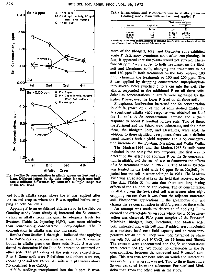

**Fig. 2—The Se concentration in alfalfa grown on Portneuf silt loam. Different letters by the data points for each crop indicate significant differences by Duncan's multiple range test at the 5% level.**

and fourth alfalfa crops where the P was applied after the second crop as where the P was applied before cropping at both Se levels.

Applying P to an established alfalfa stand in the field on Gooding sandy loam (Study 4) increased the Se concentration in alfalfa from marginal to adequate levels for livestock (Table 2). Injecting  $H_3PO_4$  was more effective than broadcasting concentrated superphosphate. The P concentration in alfalfa was also increased.

Results from Studies i through 4 indicated that applying P to P-deficient calcareous soils increased the Se concentration in alfalfa grown on those soils. Study 5 was conducted to determine if the  $P \times$  Se interaction occurred on other soils. The pH values of the soils used ranged from 5 to 8. Some soils were P-deficient and others were not, according to soil test values. All soils with pH values above 7.0 contained free CaCO<sub>3</sub>.

Alfalfa seedlings transplanted into the 0 ppm P treat-

Table 2—Selenium and P concentrations in alfalfa grown on Gooding sandy loam with and without applied P

|              |           | Plant tissue analysis |                    |  |
|--------------|-----------|-----------------------|--------------------|--|
| Source       | Applied P | Se                    | в                  |  |
|              | kg/ha     | ppm                   | 71.                |  |
| Control      |           | 0.070a                | 0.223a             |  |
| $0 - 48 - 0$ | 160       | 0.107 <sub>b</sub>    | 0.247 <sub>b</sub> |  |
| H.PO.        | 160       | 0.149c                | 0.293c             |  |

**•••** in the same column followed by different letters differ significantly at the 1% significance level by Duncan's multiple range test.

ment of the Blodgett, Jory, and Deschutes soils exhibited acute P deficiency symptoms soon after transplanting. In fact, it appeared that the plants would not survive. Therefore 50 ppm P were added to both treatments on the Blodgett and Deschutes soils, changing the treatments to 50 and 150 ppm P. Both treatments on the Jory received 100 ppm, changing the treatments to 100 and 200 ppm. This P was applied by dropping concentrated superphosphate into several holes punched 5 to 7 cm into the soil. The alfalfa responded to the additional P on all three soils. Selenium concentrations in alfalfa were increased by the higher P level over the lower P level on all three soils.

Phosphorus fertilization increased the Se concentration in alfalfa grown on 6 of the 14 soils studied (Table 3). A significant alfalfa yield response was obtained on 8 of the 14 soils. A Se concentration increase and a yield response to added P resulted on five soils. Two of these, the Portneuf and the Seism, were calcareous, and the other three, the Blodgett, Jory, and Deschutes, were acid. In addition to these significant responses, there was a definite trend towards both a yield response and a Se concentration increase on the Purdam, Nyssaton, and Walla Walla.

The Madras-1963 and the Madras-1963-Se soils were included in the study for two purposes. The first was to determine the effects of applying P on the Se concentration in alfalfa, and the second was to determine the effects of a Se treatment made in 1963 (3). The Madras 1963-Se was treated in the field with 1.0 ppm Se as  $Na<sub>2</sub>SeO<sub>2</sub>$  injected into the soil in water solution in 1963. The Madras-1963 was an adjacent area in the field that received no Se. The data (Table 3) indicate that there are long lasting effects of the 1.0 ppm Se application. The Se concentration in alfalfa from the Se-treated soil was greater after eight cropping seasons than it was from the adjacent untreated soil. Phosphorus applications in the greenhouse did not change the Se concentration in alfalfa grown on these soils.

An attempt was made to determine if applying P increased the extractable Se on soils where the  $P \times$  Se interaction was observed. Fifty-gram samples of the Portneuf, Minidoka, Blodgett, Jory, Deschutes, and Madras soils, both untreated and with 160 ppm P added, were incubated at a moisture level near field capacity and at room temperature for 48 hours. They were then extracted by shaking with 500 ml of  $0.01$  *N* CaCl<sub>2</sub> for 16 hours and filtered The extracts were concentrated and the Se concentrations were determined (2). We found no differences in the Se concentrations between the untreated and P treated samples. This was true for both soils on which the interaction was evident and where it was not. Two to three times more Se was extracted from the calcareous Portneuf *and Mini*doka than from the other soils in the study.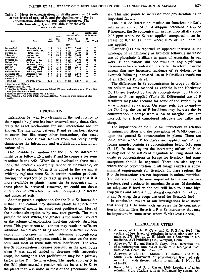Table 3-Mean Se concentrations in alfalfa grown on 14 soils at two levels of applied P, and the significance of the Se concentration differences and yield responses. The collection site, pH, and available P for the soils are also shown

| Sol.                             | Site             | pН<br>paste | Avail-<br>able<br>PF | <b>Se</b><br>concentration<br>Applied P<br>100<br>o |       | Significance<br>of increase |            |
|----------------------------------|------------------|-------------|----------------------|-----------------------------------------------------|-------|-----------------------------|------------|
|                                  |                  |             |                      |                                                     |       | Sе<br>conc.                 | Yield      |
|                                  |                  |             |                      | ppm.                                                |       |                             |            |
| Portneuf sil                     | Kimberly, Ida,   | 7.9         | 9.1                  | 0.057                                               | 0.086 | ۰                           | $+ +$      |
| Minidoka sil                     | Twin Falls, Ida. | 7.7         | 27.2                 | 0.062                                               | 0.059 | ns.                         | ns         |
| Purdam síl                       | Nampa, Ida,      | 7.7         | 9.0                  | 0.0%                                                | 0.107 | DB.                         | $\bullet$  |
| Scism sil                        | Nampa, Ida.      | 7.9         | 25.8                 | 0.078                                               | 0.093 |                             | ٠          |
| Greenleaf sil                    | Caldwell, ida.   | 7.7         | 21.3                 | 0.190                                               | 0.180 | ns                          | <b>ng</b>  |
| Nysaaton sil                     | Homedale, Ida.   | 7. 7        | 23.8                 | 0.074                                               | 0.084 | n.                          | <b>THE</b> |
| Madras sl                        | Madras, Ore.     | 7. 0        | 18.5                 | 0.090                                               | 0.090 | ns.                         | $\bullet$  |
| Blodgett sit                     | Woodside, Mont.  | 5, 2        | 4.5                  | 0.103                                               | 0.206 | **                          | $\bullet$  |
| Jory cit                         | Lewisberg Ore.   | 5, 7        | 1,1                  | 0.156                                               | 0.214 | $+1$                        | 64         |
| Palouse sil                      | Pulman, Wash,    | 5.4         | 18.4                 | 0.113                                               | 0.110 | ns                          | <b>DB</b>  |
| Walle Walla sil                  | Pulinan, Wash,   | 5.9         | 4.6                  | 0.097                                               | 0.117 | $\pm$                       | n.         |
| Deschutes sit                    | Richmond, Ore.   | 5,7         | 5.4                  | 0.076                                               | 0.098 | $+ +$                       | $\bullet$  |
| Madras sl - 19631<br>Madras sl - | Madras, Ore,     | 5, 7        | 10.9                 | 0.048                                               | 0.049 | DB.                         | $\ast$     |
| 1963-Set<br>$-20$                | Madras, Ore.     | 5, 8        | 8,6                  | 0.065                                               | 0.069 | DB                          | ns.        |

Significant at 5% level \*\* Significant at 1% level.

+ P applied to Blodgett and Deschutes was 50 and 150 ppm, and to Jory was 100 and 200 The state of the state of the state of the state of the state of the state of the state of the state of the state of the state of the state of the state of the state of the state of the state of the state of the state of

NaOAc.

## **DISCUSSION**

Interaction between two elements in the soil relative to their uptake by plants has been observed many times. Generally the exact mechanisms for such interactions are not known. The interaction between P and Se has been shown to occur, but like many other interactions, the exact mechanism is not known. Results from this study partly characterize the interaction and establish important implications of it.

One possible explanation for the  $P \times$  Se interaction might be as follows: Evidently P and Se compete for some reactions in the soils. When Se is involved in these reactions, the products apparently render Se unavailable, or nearly so, to plants. When P is added to the system, it evidently replaces some Se in certain reaction products, forcing the replaced Se to react in such a way that it is more available to plants; hence the Se concentration in these plants is increased. However, we could not detect differences in extractable Se when comparing P treated and untreated soils.

Another possible explanation for the  $P \times$  Se interaction is that P applications may stimulate plants to absorb more Se because of greatly increased root proliferation. Most of the nutrient absorption is by new root growth. The more prolific the root system, the greater is the root-soil contact or the volume of exploration involving actively absorbing roots. This greater root-soil contact may result in sufficient additional Se uptake to bring about the observed Se concentration increases in plants. Selenium concentration increases and yield responses tended to occur on the same soils, and most of these soils were P-deficient. The relative Se concentration increases observed in the greenhouse when P was added tended to decrease with successive crops, indicating that root proliferation may be a primary factor in the  $P \times$  Se interaction. The application of P to the field plots caused a greater relative increase in Se in the plants than was noted in most of the greenhouse studies. This also points to increased root proliferation as an important factor.

The P  $\times$  Se interaction mechanism functions similarly with native and added Se. A 40-ppm increment in applied P increased the Se concentration in first crop alfalfa about 0.08 ppm where no Se was applied, compared to an increase of 0.7 to 1.0 ppm where 0.25 or 0.50 ppm Se was applied.

Gardner (11) has reported an apparent increase in the incidence of Se deficiency in livestock following increased use of phosphate fertilizers in parts of Australia. In our work, P applications did not result in any significant decreases in Se concentration in alfalfa. Therefore, it would appear that any increased incidence of Se deficiency in livestock following increased use of P fertilizers would not be an effect of P, per se.

The differences in Se concentration in crops on different soils in an area mapped as variable in the Northwest  $(5, 13)$  are typified by the Se concentrations for 14 soils where no P was applied (Table 3). Differential use of P fertilizers may also account for some of the variability in areas mapped as variable. On some soils, for examplethe Gooding, the use of P fertilizers may increase the Se concentration in forage from a low or marginal level for livestock to a level considered adequate for cattle and sheep.

The importance of the  $P \times$  Se interactions in relation to animal nutrition and the prevention of WMD depends upon the general Se concentration in plants. There are some areas where P fertilizers are applied and yet all forage samples contain Se concentrations below 0.10 ppm  $(5, 13)$ . In these regions the interacting effects of P on Se may not be of sufficient magnitude to bring about adequate Se concentrations in forage for livestock, but some exceptions should be expected. There are also regions where the Se concentration in all forage samples is above minimal requirements for livestock. In these regions, the  $P \times$  Se interactions are not important in animal nutrition. The interaction can be most important to the rancher and livestock feed producer in marginal Se areas. Maintaining an adequate P level in the soil will help to insure high crop yields and adequate nutritional concentrations of both P and Se when these crops are used for livestock feed.

In conclusion, results of our investigations have shown that applying P to some soils increases the Se concentration in alfalfa. Thus there is a  $P \times$  Se interaction that may be important in some areas where WMD losses occur.

#### LITERATURE CITED

- 1. Allaway, W. H., E. E. Cary, and C. F. Ehlig. 1967. The cycling of low levels of selenium in soils, plants and ani-<br>mals. p. 273-296. In O. H. Muth (ed.) Selenium in bio-<br>medicine. AVI Publishing Co., Westport, Conn.
- 2. Allaway, W. H., and Earle E. Cary. 1964. Determinations of submicrogram amounts of selenium in biological materials. Anal. Chem. 36:1359-1362.
- 3. Allaway, W. H., D. P. Moore, J. E. Oldfield, and O. H. Muth. 1966. Movement of physiological levels of selenium from soils through plants to animals. J. Nutr. 88; 411–418.
- 4. Brown, M. J., and D. L. Carter. 1969. Leaching of added selenium from alkaline soils as influenced by sulfate. Soil